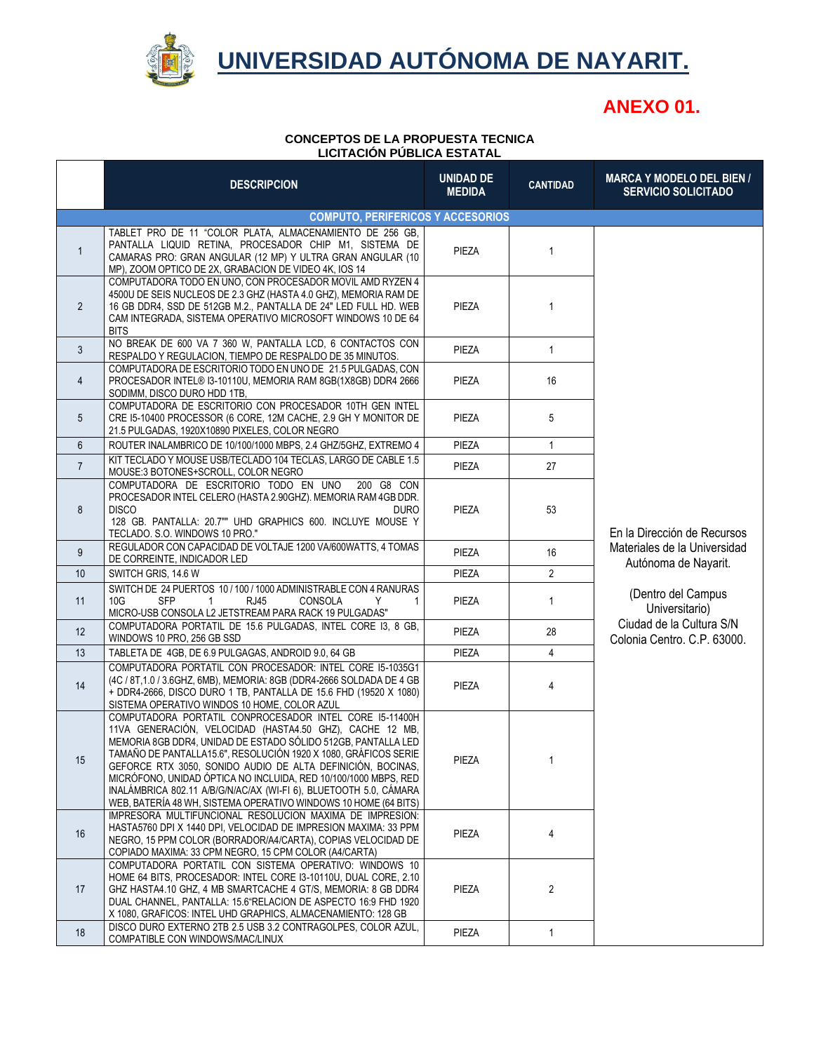

### **UNIVERSIDAD AUTÓNOMA DE NAYARIT.**

### **ANEXO 01.**

#### **CONCEPTOS DE LA PROPUESTA TECNICA LICITACIÓN PÚBLICA ESTATAL**

|                 | <b>DESCRIPCION</b>                                                                                                                                                                                                                                                                                                                                                                                                                                                                                                                | <b>UNIDAD DE</b><br><b>MEDIDA</b> | <b>CANTIDAD</b> | <b>MARCA Y MODELO DEL BIEN /</b><br><b>SERVICIO SOLICITADO</b>                                                                                                                         |
|-----------------|-----------------------------------------------------------------------------------------------------------------------------------------------------------------------------------------------------------------------------------------------------------------------------------------------------------------------------------------------------------------------------------------------------------------------------------------------------------------------------------------------------------------------------------|-----------------------------------|-----------------|----------------------------------------------------------------------------------------------------------------------------------------------------------------------------------------|
|                 | <b>COMPUTO, PERIFERICOS Y ACCESORIOS</b>                                                                                                                                                                                                                                                                                                                                                                                                                                                                                          |                                   |                 |                                                                                                                                                                                        |
| $\mathbf{1}$    | TABLET PRO DE 11 "COLOR PLATA, ALMACENAMIENTO DE 256 GB,<br>PANTALLA LIQUID RETINA, PROCESADOR CHIP M1, SISTEMA DE<br>CAMARAS PRO: GRAN ANGULAR (12 MP) Y ULTRA GRAN ANGULAR (10<br>MP), ZOOM OPTICO DE 2X, GRABACION DE VIDEO 4K, IOS 14                                                                                                                                                                                                                                                                                         | PIEZA                             | $\mathbf{1}$    |                                                                                                                                                                                        |
| $\overline{2}$  | COMPUTADORA TODO EN UNO, CON PROCESADOR MOVIL AMD RYZEN 4<br>4500U DE SEIS NUCLEOS DE 2.3 GHZ (HASTA 4.0 GHZ), MEMORIA RAM DE<br>16 GB DDR4, SSD DE 512GB M.2., PANTALLA DE 24" LED FULL HD. WEB<br>CAM INTEGRADA, SISTEMA OPERATIVO MICROSOFT WINDOWS 10 DE 64<br><b>BITS</b>                                                                                                                                                                                                                                                    | PIEZA                             | 1               |                                                                                                                                                                                        |
| 3               | NO BREAK DE 600 VA 7 360 W, PANTALLA LCD, 6 CONTACTOS CON<br>RESPALDO Y REGULACION, TIEMPO DE RESPALDO DE 35 MINUTOS.                                                                                                                                                                                                                                                                                                                                                                                                             | PIEZA                             | $\mathbf{1}$    |                                                                                                                                                                                        |
| $\overline{4}$  | COMPUTADORA DE ESCRITORIO TODO EN UNO DE 21.5 PULGADAS, CON<br>PROCESADOR INTEL® I3-10110U, MEMORIA RAM 8GB(1X8GB) DDR4 2666<br>SODIMM, DISCO DURO HDD 1TB,                                                                                                                                                                                                                                                                                                                                                                       | PIEZA                             | 16              |                                                                                                                                                                                        |
| 5               | COMPUTADORA DE ESCRITORIO CON PROCESADOR 10TH GEN INTEL<br>CRE I5-10400 PROCESSOR (6 CORE, 12M CACHE, 2.9 GH Y MONITOR DE<br>21.5 PULGADAS, 1920X10890 PIXELES, COLOR NEGRO                                                                                                                                                                                                                                                                                                                                                       | PIEZA                             | 5               |                                                                                                                                                                                        |
| 6               | ROUTER INALAMBRICO DE 10/100/1000 MBPS, 2.4 GHZ/5GHZ, EXTREMO 4                                                                                                                                                                                                                                                                                                                                                                                                                                                                   | PIEZA                             | 1               |                                                                                                                                                                                        |
| $\overline{7}$  | KIT TECLADO Y MOUSE USB/TECLADO 104 TECLAS, LARGO DE CABLE 1.5<br>MOUSE:3 BOTONES+SCROLL, COLOR NEGRO                                                                                                                                                                                                                                                                                                                                                                                                                             | PIEZA                             | 27              |                                                                                                                                                                                        |
| 8               | COMPUTADORA DE ESCRITORIO TODO EN UNO<br>200 G8 CON<br>PROCESADOR INTEL CELERO (HASTA 2.90GHZ). MEMORIA RAM 4GB DDR.<br><b>DISCO</b><br><b>DURO</b><br>128 GB. PANTALLA: 20.7"" UHD GRAPHICS 600. INCLUYE MOUSE Y<br>TECLADO. S.O. WINDOWS 10 PRO."                                                                                                                                                                                                                                                                               | PIEZA                             | 53              | En la Dirección de Recursos<br>Materiales de la Universidad<br>Autónoma de Nayarit.<br>(Dentro del Campus<br>Universitario)<br>Ciudad de la Cultura S/N<br>Colonia Centro. C.P. 63000. |
| 9               | REGULADOR CON CAPACIDAD DE VOLTAJE 1200 VA/600WATTS, 4 TOMAS<br>DE CORREINTE, INDICADOR LED                                                                                                                                                                                                                                                                                                                                                                                                                                       | PIEZA                             | 16              |                                                                                                                                                                                        |
| 10 <sup>°</sup> | SWITCH GRIS, 14.6 W                                                                                                                                                                                                                                                                                                                                                                                                                                                                                                               | PIEZA                             | $\overline{2}$  |                                                                                                                                                                                        |
| 11              | SWITCH DE 24 PUERTOS 10 / 100 / 1000 ADMINISTRABLE CON 4 RANURAS<br>10G<br><b>SFP</b><br>RJ45<br><b>CONSOLA</b><br>Y<br>-1<br>1<br>MICRO-USB CONSOLA L2 JETSTREAM PARA RACK 19 PULGADAS"                                                                                                                                                                                                                                                                                                                                          | PIEZA                             | 1               |                                                                                                                                                                                        |
| 12              | COMPUTADORA PORTATIL DE 15.6 PULGADAS, INTEL CORE 13, 8 GB,<br>WINDOWS 10 PRO, 256 GB SSD                                                                                                                                                                                                                                                                                                                                                                                                                                         | PIEZA                             | 28              |                                                                                                                                                                                        |
| 13              | TABLETA DE 4GB, DE 6.9 PULGAGAS, ANDROID 9.0, 64 GB                                                                                                                                                                                                                                                                                                                                                                                                                                                                               | PIEZA                             | $\overline{4}$  |                                                                                                                                                                                        |
| 14              | COMPUTADORA PORTATIL CON PROCESADOR: INTEL CORE 15-1035G1<br>(4C / 8T, 1.0 / 3.6GHZ, 6MB), MEMORIA: 8GB (DDR4-2666 SOLDADA DE 4 GB<br>+ DDR4-2666, DISCO DURO 1 TB, PANTALLA DE 15.6 FHD (19520 X 1080)<br>SISTEMA OPERATIVO WINDOS 10 HOME, COLOR AZUL                                                                                                                                                                                                                                                                           | PIEZA                             | 4               |                                                                                                                                                                                        |
| 15              | COMPUTADORA PORTATIL CONPROCESADOR INTEL CORE 15-11400H<br>11VA GENERACIÓN, VELOCIDAD (HASTA4.50 GHZ), CACHE 12 MB,<br>MEMORIA 8GB DDR4, UNIDAD DE ESTADO SÓLIDO 512GB, PANTALLA LED<br>TAMAÑO DE PANTALLA15.6", RESOLUCIÓN 1920 X 1080, GRÁFICOS SERIE<br>GEFORCE RTX 3050, SONIDO AUDIO DE ALTA DEFINICIÓN, BOCINAS,<br>MICRÓFONO, UNIDAD ÓPTICA NO INCLUIDA, RED 10/100/1000 MBPS, RED<br>INALÁMBRICA 802.11 A/B/G/N/AC/AX (WI-FI 6), BLUETOOTH 5.0, CÁMARA<br>WEB, BATERÍA 48 WH, SISTEMA OPERATIVO WINDOWS 10 HOME (64 BITS) | PIEZA                             |                 |                                                                                                                                                                                        |
| 16              | IMPRESORA MULTIFUNCIONAL RESOLUCION MAXIMA DE IMPRESION:<br>HASTA5760 DPI X 1440 DPI. VELOCIDAD DE IMPRESION MAXIMA: 33 PPM<br>NEGRO, 15 PPM COLOR (BORRADOR/A4/CARTA), COPIAS VELOCIDAD DE<br>COPIADO MAXIMA: 33 CPM NEGRO, 15 CPM COLOR (A4/CARTA)                                                                                                                                                                                                                                                                              | PIEZA                             | 4               |                                                                                                                                                                                        |
| 17              | COMPUTADORA PORTATIL CON SISTEMA OPERATIVO: WINDOWS 10<br>HOME 64 BITS, PROCESADOR: INTEL CORE 13-10110U, DUAL CORE, 2.10<br>GHZ HASTA4.10 GHZ, 4 MB SMARTCACHE 4 GT/S, MEMORIA: 8 GB DDR4<br>DUAL CHANNEL, PANTALLA: 15.6"RELACION DE ASPECTO 16:9 FHD 1920<br>X 1080, GRAFICOS: INTEL UHD GRAPHICS, ALMACENAMIENTO: 128 GB                                                                                                                                                                                                      | PIEZA                             | 2               |                                                                                                                                                                                        |
| 18              | DISCO DURO EXTERNO 2TB 2.5 USB 3.2 CONTRAGOLPES. COLOR AZUL.<br>COMPATIBLE CON WINDOWS/MAC/LINUX                                                                                                                                                                                                                                                                                                                                                                                                                                  | PIEZA                             | 1               |                                                                                                                                                                                        |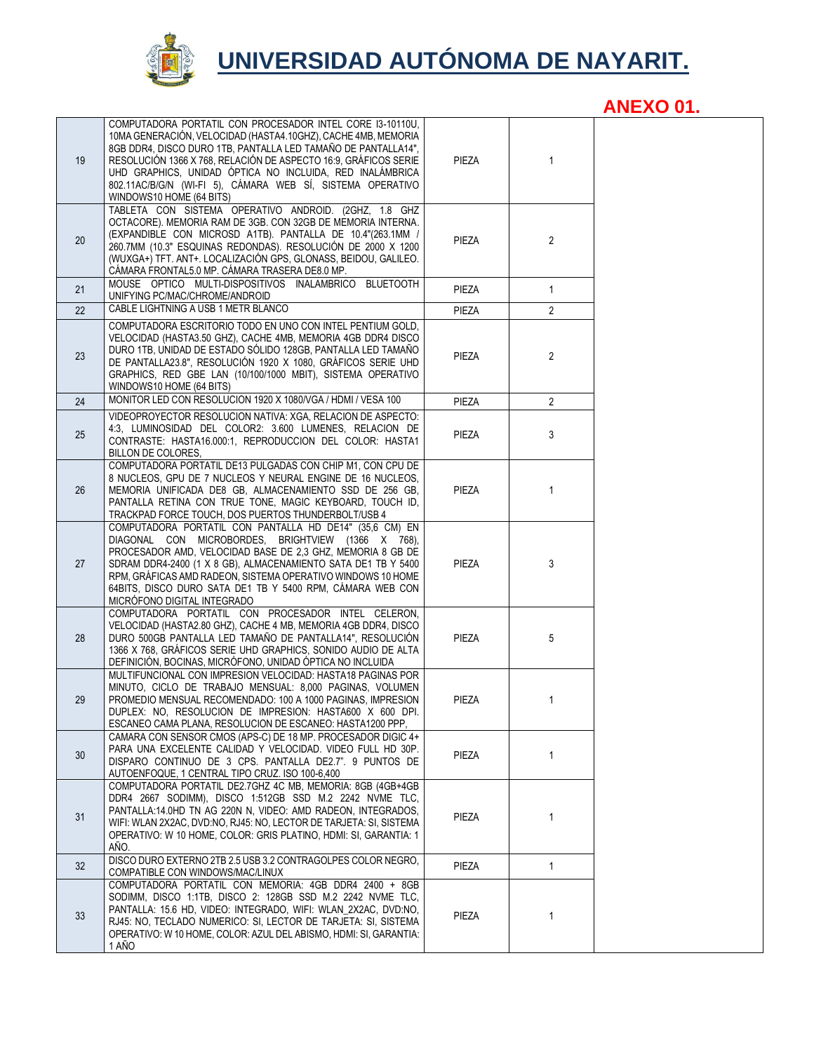

## **UNIVERSIDAD AUTÓNOMA DE NAYARIT.**

|                 |                                                                                                                                                                                                                                                                                                                                                                                                                      |       |                | ANLAV VI. |
|-----------------|----------------------------------------------------------------------------------------------------------------------------------------------------------------------------------------------------------------------------------------------------------------------------------------------------------------------------------------------------------------------------------------------------------------------|-------|----------------|-----------|
| 19              | COMPUTADORA PORTATIL CON PROCESADOR INTEL CORE I3-10110U,<br>10MA GENERACIÓN, VELOCIDAD (HASTA4.10GHZ), CACHE 4MB, MEMORIA<br>8GB DDR4, DISCO DURO 1TB, PANTALLA LED TAMAÑO DE PANTALLA14",<br>RESOLUCIÓN 1366 X 768, RELACIÓN DE ASPECTO 16:9, GRÁFICOS SERIE<br>UHD GRAPHICS, UNIDAD ÓPTICA NO INCLUIDA, RED INALÁMBRICA<br>802.11AC/B/G/N (WI-FI 5), CÁMARA WEB SÍ, SISTEMA OPERATIVO<br>WINDOWS10 HOME (64 BITS) | PIEZA | $\mathbf{1}$   |           |
| 20              | TABLETA CON SISTEMA OPERATIVO ANDROID. (2GHZ, 1.8 GHZ<br>OCTACORE). MEMORIA RAM DE 3GB. CON 32GB DE MEMORIA INTERNA.<br>(EXPANDIBLE CON MICROSD A1TB). PANTALLA DE 10.4"(263.1MM /<br>260.7MM (10.3" ESQUINAS REDONDAS). RESOLUCIÓN DE 2000 X 1200<br>(WUXGA+) TFT. ANT+. LOCALIZACIÓN GPS, GLONASS, BEIDOU, GALILEO.<br>CÁMARA FRONTAL5.0 MP. CÁMARA TRASERA DE8.0 MP.                                              | PIEZA | $\overline{2}$ |           |
| 21              | MOUSE OPTICO MULTI-DISPOSITIVOS INALAMBRICO BLUETOOTH<br>UNIFYING PC/MAC/CHROME/ANDROID                                                                                                                                                                                                                                                                                                                              | PIEZA | $\mathbf{1}$   |           |
| 22              | CABLE LIGHTNING A USB 1 METR BLANCO                                                                                                                                                                                                                                                                                                                                                                                  | PIEZA | $\overline{2}$ |           |
| 23              | COMPUTADORA ESCRITORIO TODO EN UNO CON INTEL PENTIUM GOLD.<br>VELOCIDAD (HASTA3.50 GHZ), CACHE 4MB, MEMORIA 4GB DDR4 DISCO<br>DURO 1TB, UNIDAD DE ESTADO SÓLIDO 128GB, PANTALLA LED TAMAÑO<br>DE PANTALLA23.8", RESOLUCIÓN 1920 X 1080, GRÁFICOS SERIE UHD<br>GRAPHICS, RED GBE LAN (10/100/1000 MBIT), SISTEMA OPERATIVO<br>WINDOWS10 HOME (64 BITS)                                                                | PIEZA | $\overline{2}$ |           |
| 24              | MONITOR LED CON RESOLUCION 1920 X 1080/VGA / HDMI / VESA 100                                                                                                                                                                                                                                                                                                                                                         | PIEZA | $\overline{2}$ |           |
| 25              | VIDEOPROYECTOR RESOLUCION NATIVA: XGA. RELACION DE ASPECTO:<br>4:3, LUMINOSIDAD DEL COLOR2: 3.600 LUMENES, RELACION DE<br>CONTRASTE: HASTA16.000:1, REPRODUCCION DEL COLOR: HASTA1<br>BILLON DE COLORES,                                                                                                                                                                                                             | PIEZA | 3              |           |
| 26              | COMPUTADORA PORTATIL DE13 PULGADAS CON CHIP M1, CON CPU DE<br>8 NUCLEOS, GPU DE 7 NUCLEOS Y NEURAL ENGINE DE 16 NUCLEOS,<br>MEMORIA UNIFICADA DE8 GB, ALMACENAMIENTO SSD DE 256 GB,<br>PANTALLA RETINA CON TRUE TONE, MAGIC KEYBOARD, TOUCH ID,<br>TRACKPAD FORCE TOUCH, DOS PUERTOS THUNDERBOLT/USB 4                                                                                                               | PIEZA | 1              |           |
| 27              | COMPUTADORA PORTATIL CON PANTALLA HD DE14" (35,6 CM) EN<br>DIAGONAL CON MICROBORDES, BRIGHTVIEW (1366 X 768),<br>PROCESADOR AMD, VELOCIDAD BASE DE 2,3 GHZ, MEMORIA 8 GB DE<br>SDRAM DDR4-2400 (1 X 8 GB), ALMACENAMIENTO SATA DE1 TB Y 5400<br>RPM, GRÁFICAS AMD RADEON, SISTEMA OPERATIVO WINDOWS 10 HOME<br>64BITS, DISCO DURO SATA DE1 TB Y 5400 RPM, CÁMARA WEB CON<br>MICRÓFONO DIGITAL INTEGRADO              | PIEZA | 3              |           |
| 28              | COMPUTADORA PORTATIL CON PROCESADOR INTEL CELERON,<br>VELOCIDAD (HASTA2.80 GHZ), CACHE 4 MB, MEMORIA 4GB DDR4, DISCO<br>DURO 500GB PANTALLA LED TAMAÑO DE PANTALLA14". RESOLUCIÓN<br>1366 X 768, GRÁFICOS SERIE UHD GRAPHICS, SONIDO AUDIO DE ALTA<br>DEFINICIÓN, BOCINAS, MICRÓFONO, UNIDAD ÓPTICA NO INCLUIDA                                                                                                      | PIEZA | 5              |           |
| 29              | MULTIFUNCIONAL CON IMPRESION VELOCIDAD: HASTA18 PAGINAS POR<br>MINUTO, CICLO DE TRABAJO MENSUAL: 8,000 PAGINAS, VOLUMEN<br>PROMEDIO MENSUAL RECOMENDADO: 100 A 1000 PAGINAS, IMPRESION<br>DUPLEX: NO, RESOLUCION DE IMPRESION: HASTA600 X 600 DPI.<br>ESCANEO CAMA PLANA, RESOLUCION DE ESCANEO: HASTA1200 PPP,                                                                                                      | PIEZA | $\mathbf{1}$   |           |
| 30 <sup>°</sup> | CAMARA CON SENSOR CMOS (APS-C) DE 18 MP. PROCESADOR DIGIC 4+<br>PARA UNA EXCELENTE CALIDAD Y VELOCIDAD. VIDEO FULL HD 30P.<br>DISPARO CONTINUO DE 3 CPS. PANTALLA DE2.7". 9 PUNTOS DE<br>AUTOENFOQUE, 1 CENTRAL TIPO CRUZ. ISO 100-6,400                                                                                                                                                                             | PIEZA | $\mathbf{1}$   |           |
| 31              | COMPUTADORA PORTATIL DE2.7GHZ 4C MB, MEMORIA: 8GB (4GB+4GB<br>DDR4 2667 SODIMM), DISCO 1:512GB SSD M.2 2242 NVME TLC,<br>PANTALLA:14.0HD TN AG 220N N, VIDEO: AMD RADEON, INTEGRADOS,<br>WIFI: WLAN 2X2AC. DVD:NO. RJ45: NO. LECTOR DE TARJETA: SI. SISTEMA<br>OPERATIVO: W 10 HOME, COLOR: GRIS PLATINO, HDMI: SI, GARANTIA: 1<br>AÑO.                                                                              | PIEZA | 1              |           |
| 32              | DISCO DURO EXTERNO 2TB 2.5 USB 3.2 CONTRAGOLPES COLOR NEGRO,<br>COMPATIBLE CON WINDOWS/MAC/LINUX                                                                                                                                                                                                                                                                                                                     | PIEZA | $\mathbf{1}$   |           |
| 33              | COMPUTADORA PORTATIL CON MEMORIA: 4GB DDR4 2400 + 8GB<br>SODIMM, DISCO 1:1TB, DISCO 2: 128GB SSD M.2 2242 NVME TLC,<br>PANTALLA: 15.6 HD, VIDEO: INTEGRADO, WIFI: WLAN_2X2AC, DVD:NO,<br>RJ45: NO, TECLADO NUMERICO: SI, LECTOR DE TARJETA: SI, SISTEMA<br>OPERATIVO: W 10 HOME, COLOR: AZUL DEL ABISMO, HDMI: SI, GARANTIA:<br>1 AÑO                                                                                | PIEZA | 1              |           |

**ANEXO 01.**